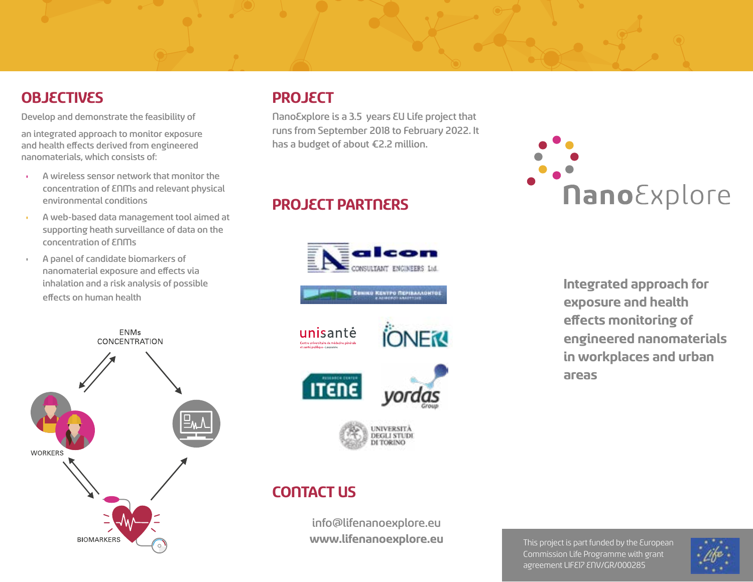## **OBJECTIVES**

Develop and demonstrate the feasibility of

an integrated approach to monitor exposure and health effects derived from engineered nanomaterials, which consists of:

- A wireless sensor network that monitor the concentration of ENMs and relevant physical environmental conditions
- A web-based data management tool aimed at supporting heath surveillance of data on the concentration of ENMs
- A panel of candidate biomarkers of nanomaterial exposure and effects via inhalation and a risk analysis of possible effects on human health



#### **PROJECT**

NanoExplore is a 3.5 years EU Life project that runs from September 2018 to February 2022. It has a budget of about €2.2 million.

## **PROJECT PARTNERS**





# **Integrated approach for exposure and health effects monitoring of engineered nanomaterials in workplaces and urban areas**

# **CONTACT US**

info@lifenanoexplore.eu **www.lifenanoexplore.eu**

This project is part funded by the European Commission Life Programme with grant agreement LIFE17 ENV/GR/000285